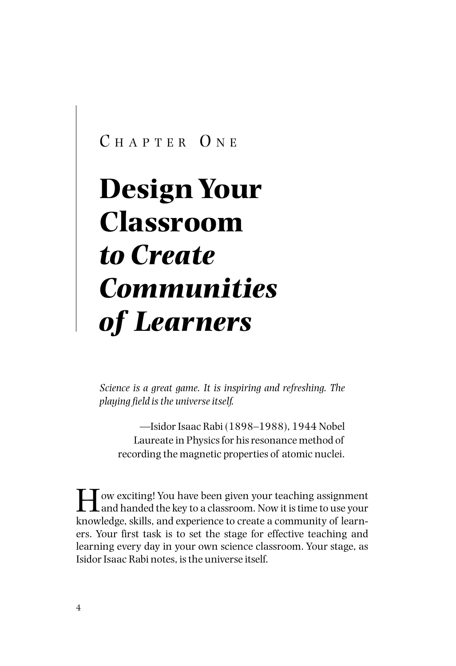# CHAPTER ONE

# **DesignYour Classroom** *to Create Communities of Learners*

*Science is a great game. It is inspiring and refreshing. The playing field isthe universeitself.*

—Isidor Isaac Rabi (1898–1988), 1944 Nobel Laureate in Physics for his resonance method of recording the magnetic properties of atomic nuclei.

How exciting! You have been given your teaching assignment<br>and handed the key to a classroom. Now it is time to use your knowledge, skills, and experience to create a community of learners. Your first task is to set the stage for effective teaching and learning every day in your own science classroom. Your stage, as IsidorIsaac Rabi notes, isthe universe itself.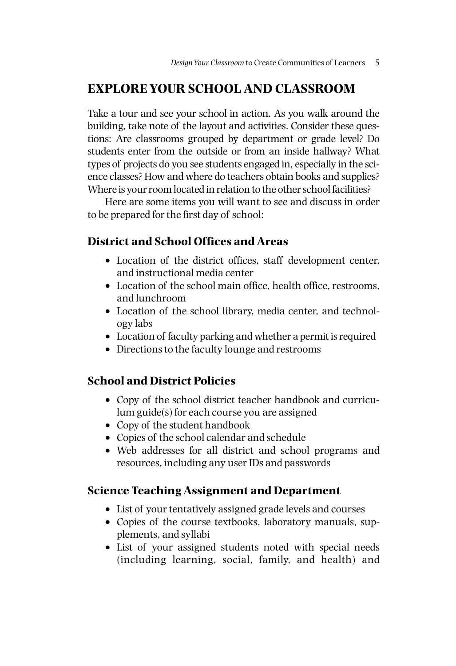# **EXPLOREYOUR SCHOOL AND CLASSROOM**

Take a tour and see your school in action. As you walk around the building, take note of the layout and activities. Consider these questions: Are classrooms grouped by department or grade level? Do students enter from the outside or from an inside hallway? What types of projects do you see students engaged in, especially in the science classes? How and where do teachers obtain books and supplies? Where is your room located in relation to the other school facilities?

Here are some items you will want to see and discuss in order to be prepared for the first day of school:

## **District and School Offices and Areas**

- Location of the district offices, staff development center, and instructional media center
- Location of the school main office, health office, restrooms, and lunchroom
- Location of the school library, media center, and technology labs
- Location of faculty parking and whether a permit is required
- Directions to the faculty lounge and restrooms

# **School and District Policies**

- Copy of the school district teacher handbook and curriculum guide(s) for each course you are assigned
- Copy of the student handbook
- Copies of the school calendar and schedule
- Web addresses for all district and school programs and resources, including any user IDs and passwords

## **Science Teaching Assignment and Department**

- List of your tentatively assigned grade levels and courses
- Copies of the course textbooks, laboratory manuals, supplements, and syllabi
- List of your assigned students noted with special needs (including learning, social, family, and health) and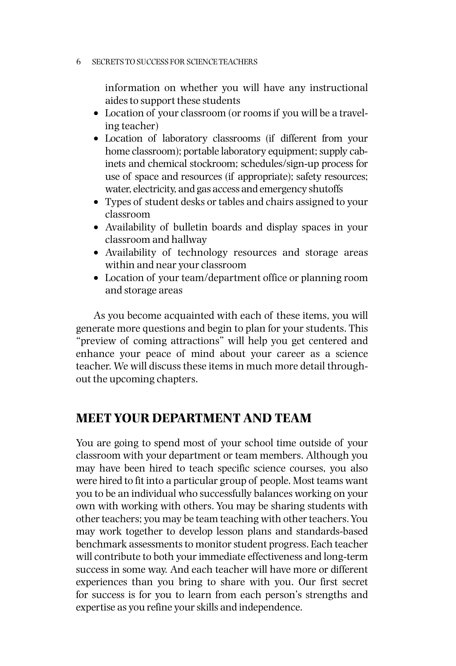information on whether you will have any instructional aidesto support these students

- Location of your classroom (or rooms if you will be a traveling teacher)
- Location of laboratory classrooms (if different from your home classroom); portable laboratory equipment; supply cabinets and chemical stockroom; schedules/sign-up process for use of space and resources (if appropriate); safety resources; water, electricity, and gas access and emergency shutoffs
- Types of student desks or tables and chairs assigned to your classroom
- Availability of bulletin boards and display spaces in your classroom and hallway
- Availability of technology resources and storage areas within and near your classroom
- Location of your team/department office or planning room and storage areas

As you become acquainted with each of these items, you will generate more questions and begin to plan for your students. This "preview of coming attractions" will help you get centered and enhance your peace of mind about your career as a science teacher. We will discuss these items in much more detail throughout the upcoming chapters.

# **MEETYOUR DEPARTMENT AND TEAM**

You are going to spend most of your school time outside of your classroom with your department or team members. Although you may have been hired to teach specific science courses, you also were hired to fit into a particular group of people. Most teams want you to be an individual who successfully balances working on your own with working with others. You may be sharing students with other teachers; you may be team teaching with other teachers. You may work together to develop lesson plans and standards-based benchmark assessments to monitor student progress. Each teacher will contribute to both your immediate effectiveness and long-term success in some way. And each teacher will have more or different experiences than you bring to share with you. Our first secret for success is for you to learn from each person's strengths and expertise as you refine yourskills and independence.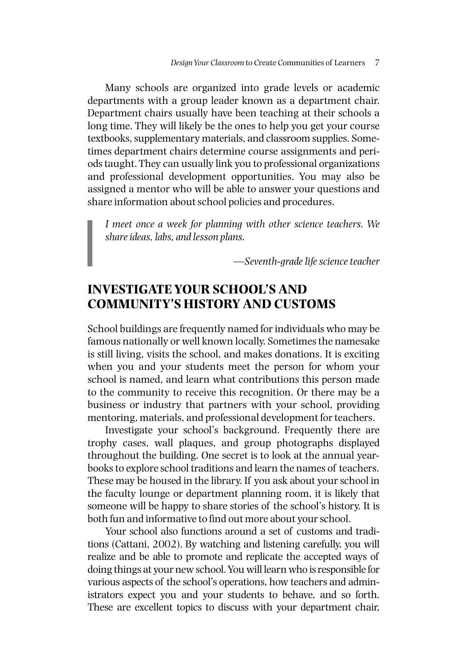Many schools are organized into grade levels or academic departments with a group leader known as a department chair. Department chairs usually have been teaching at their schools a long time. They will likely be the ones to help you get your course textbooks, supplementary materials, and classroom supplies. Sometimes department chairs determine course assignments and periodstaught.They can usually link you to professional organizations and professional development opportunities. You may also be assigned a mentor who will be able to answer your questions and share information about school policies and procedures.

*I meet once a week for planning with other science teachers. We shareideas, labs, and lesson plans.*

*—Seventh-gradelifescienceteacher*

# **INVESTIGATEYOUR SCHOOL'S AND COMMUNITY'S HISTORY AND CUSTOMS**

School buildings are frequently named for individuals who may be famous nationally or well known locally. Sometimes the namesake is still living, visits the school, and makes donations. It is exciting when you and your students meet the person for whom your school is named, and learn what contributions this person made to the community to receive this recognition. Or there may be a business or industry that partners with your school, providing mentoring, materials, and professional development for teachers.

Investigate your school's background. Frequently there are trophy cases, wall plaques, and group photographs displayed throughout the building. One secret is to look at the annual yearbooksto explore school traditions and learn the names of teachers. These may be housed in the library. If you ask about your school in the faculty lounge or department planning room, it is likely that someone will be happy to share stories of the school's history. It is both fun and informative to find out more about yourschool.

Your school also functions around a set of customs and traditions (Cattani, 2002). By watching and listening carefully, you will realize and be able to promote and replicate the accepted ways of doing things at your new school.You will learn who isresponsible for various aspects of the school's operations, how teachers and administrators expect you and your students to behave, and so forth. These are excellent topics to discuss with your department chair,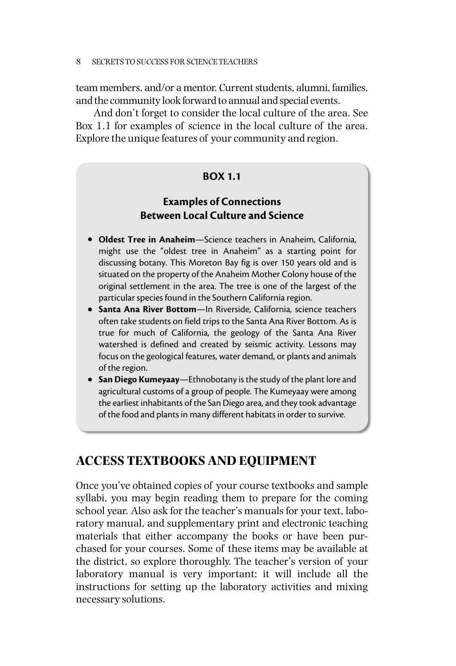team members, and/or a mentor. Current students, alumni, families, and the community look forward to annual and special events.

And don't forget to consider the local culture of the area. See Box 1.1 for examples of science in the local culture of the area. Explore the unique features of your community and region.

#### **BOX 1.1**

#### **Examples of Connections Between Local Culture and Science**

- **Oldest Tree in Anaheim**—Science teachers in Anaheim, California, might use the "oldest tree in Anaheim" as a starting point for discussing botany. This Moreton Bay fig is over 150 years old and is situated on the property of the Anaheim Mother Colony house of the original settlement in the area. The tree is one of the largest of the particular species found in the Southern California region.
- **Santa Ana River Bottom**—In Riverside, California, science teachers often take students on field trips to the Santa Ana River Bottom. As is true for much of California, the geology of the Santa Ana River watershed is defined and created by seismic activity. Lessons may focus on the geological features, water demand, or plants and animals of the region.
- **San Diego Kumeyaay**—Ethnobotany is the study of the plant lore and agricultural customs of a group of people. The Kumeyaay were among the earliest inhabitants of the San Diego area, and they took advantage of the food and plants in many different habitats in order to survive.

## **ACCESS TEXTBOOKS AND EQUIPMENT**

Once you've obtained copies of your course textbooks and sample syllabi, you may begin reading them to prepare for the coming school year. Also ask for the teacher's manuals for your text, laboratory manual, and supplementary print and electronic teaching materials that either accompany the books or have been purchased for your courses. Some of these items may be available at the district, so explore thoroughly. The teacher's version of your laboratory manual is very important; it will include all the instructions for setting up the laboratory activities and mixing necessary solutions.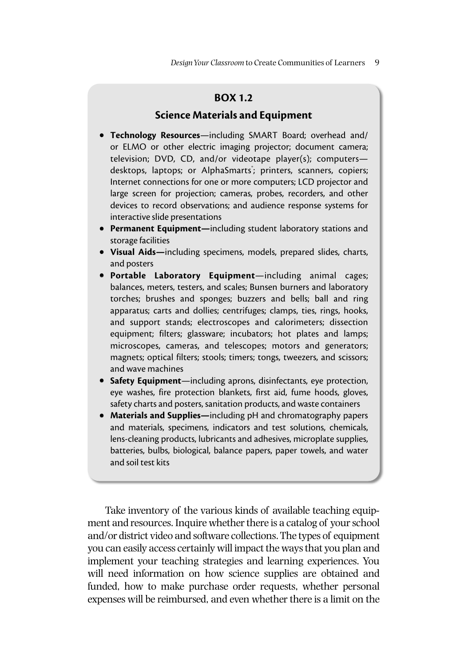#### **BOX 1.2**

#### **Science Materials and Equipment**

- **Technology Resources**—including SMART Board; overhead and/ or ELMO or other electric imaging projector; document camera; television; DVD, CD, and/or videotape player(s); computers desktops, laptops; or AlphaSmarts ® ; printers, scanners, copiers; Internet connections for one or more computers; LCD projector and large screen for projection; cameras, probes, recorders, and other devices to record observations; and audience response systems for interactive slide presentations
- **Permanent Equipment—**including student laboratory stations and storage facilities
- **Visual Aids—**including specimens, models, prepared slides, charts, and posters
- **Portable Laboratory Equipment**—including animal cages; balances, meters, testers, and scales; Bunsen burners and laboratory torches; brushes and sponges; buzzers and bells; ball and ring apparatus; carts and dollies; centrifuges; clamps, ties, rings, hooks, and support stands; electroscopes and calorimeters; dissection equipment; filters; glassware; incubators; hot plates and lamps; microscopes, cameras, and telescopes; motors and generators; magnets; optical filters; stools; timers; tongs, tweezers, and scissors; and wave machines
- **Safety Equipment**—including aprons, disinfectants, eye protection, eye washes, fire protection blankets, first aid, fume hoods, gloves, safety charts and posters, sanitation products, and waste containers
- **Materials and Supplies—**including pH and chromatography papers and materials, specimens, indicators and test solutions, chemicals, lens-cleaning products, lubricants and adhesives, microplate supplies, batteries, bulbs, biological, balance papers, paper towels, and water and soil test kits

Take inventory of the various kinds of available teaching equipment and resources. Inquire whether there is a catalog of your school and/or district video and software collections.The types of equipment you can easily access certainly will impact the ways that you plan and implement your teaching strategies and learning experiences. You will need information on how science supplies are obtained and funded, how to make purchase order requests, whether personal expenses will be reimbursed, and even whether there is a limit on the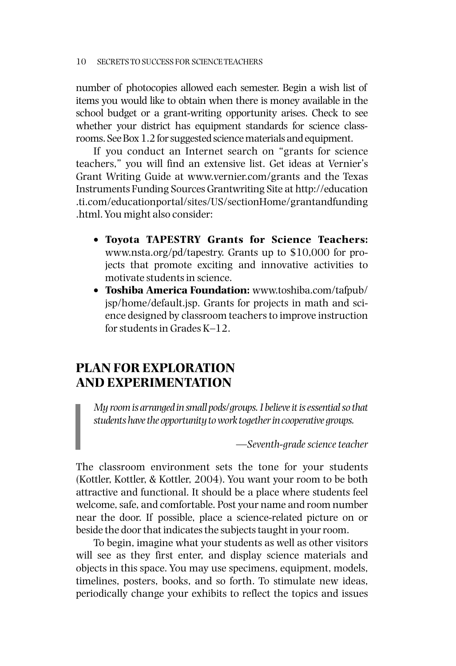number of photocopies allowed each semester. Begin a wish list of items you would like to obtain when there is money available in the school budget or a grant-writing opportunity arises. Check to see whether your district has equipment standards for science classrooms. See Box 1.2 for suggested science materials and equipment.

If you conduct an Internet search on "grants for science teachers," you will find an extensive list. Get ideas at Vernier's Grant Writing Guide at www.vernier.com/grants and the Texas Instruments Funding Sources Grantwriting Site at http://education .ti.com/educationportal/sites/US/sectionHome/grantandfunding .html.You might also consider:

- **Toyota TAPESTRY Grants for Science Teachers:** www.nsta.org/pd/tapestry. Grants up to \$10,000 for projects that promote exciting and innovative activities to motivate students in science.
- **Toshiba America Foundation:** www.toshiba.com/tafpub/ jsp/home/default.jsp. Grants for projects in math and science designed by classroom teachers to improve instruction for students in Grades K–12.

# **PLAN FOR EXPLORATION AND EXPERIMENTATION**

*My roomis arranged in small pods/groups.I believeitisessentialso that studentshavethe opportunitytowork togetherincooperative groups.*

 $-$ *Seventh-grade science teacher* 

The classroom environment sets the tone for your students (Kottler, Kottler, & Kottler, 2004). You want your room to be both attractive and functional. It should be a place where students feel welcome, safe, and comfortable. Post your name and room number near the door. If possible, place a science-related picture on or beside the door that indicates the subjects taught in your room.

To begin, imagine what your students as well as other visitors will see as they first enter, and display science materials and objects in this space. You may use specimens, equipment, models, timelines, posters, books, and so forth. To stimulate new ideas, periodically change your exhibits to reflect the topics and issues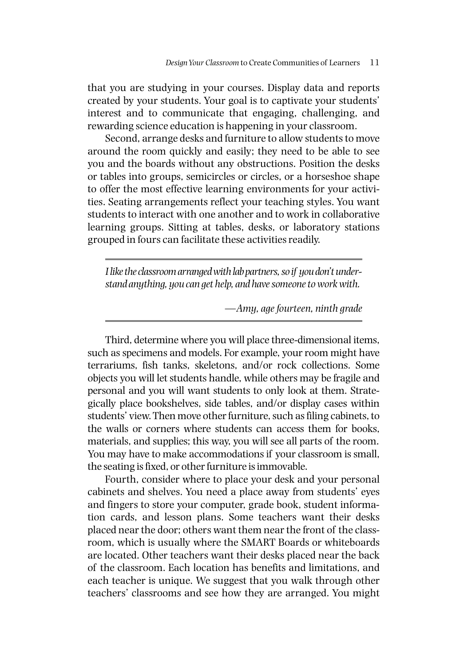that you are studying in your courses. Display data and reports created by your students. Your goal is to captivate your students' interest and to communicate that engaging, challenging, and rewarding science education is happening in your classroom.

Second, arrange desks and furniture to allow students to move around the room quickly and easily; they need to be able to see you and the boards without any obstructions. Position the desks or tables into groups, semicircles or circles, or a horseshoe shape to offer the most effective learning environments for your activities. Seating arrangements reflect your teaching styles. You want students to interact with one another and to work in collaborative learning groups. Sitting at tables, desks, or laboratory stations grouped in fours can facilitate these activities readily.

*Iliketheclassroomarrangedwithlab partners,so if youdon'tunderstand anything, you can get help, and havesomeoneto work with.*

*—Amy, agefourteen, ninth grade*

Third, determine where you will place three-dimensional items, such as specimens and models. For example, your room might have terrariums, fish tanks, skeletons, and/or rock collections. Some objects you will let students handle, while others may be fragile and personal and you will want students to only look at them. Strategically place bookshelves, side tables, and/or display cases within students' view. Then move other furniture, such as filing cabinets, to the walls or corners where students can access them for books, materials, and supplies; this way, you will see all parts of the room. You may have to make accommodations if your classroom is small, the seating is fixed, or other furniture is immovable.

Fourth, consider where to place your desk and your personal cabinets and shelves. You need a place away from students' eyes and fingers to store your computer, grade book, student information cards, and lesson plans. Some teachers want their desks placed nearthe door; others want them nearthe front of the classroom, which is usually where the SMART Boards or whiteboards are located. Other teachers want their desks placed near the back of the classroom. Each location has benefits and limitations, and each teacher is unique. We suggest that you walk through other teachers' classrooms and see how they are arranged. You might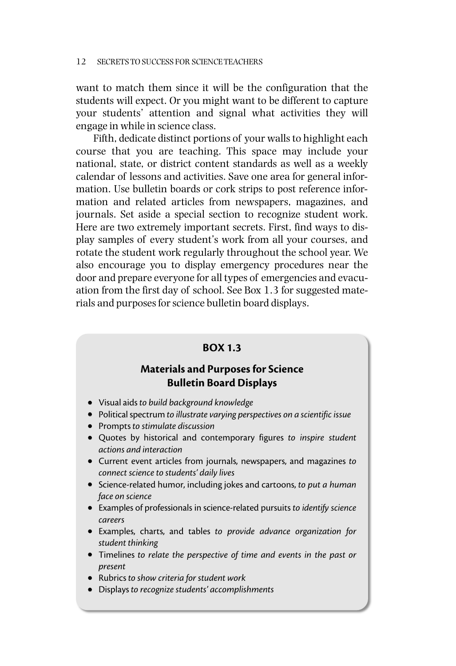want to match them since it will be the configuration that the students will expect. Or you might want to be different to capture your students' attention and signal what activities they will engage in while in science class.

Fifth, dedicate distinct portions of your walls to highlight each course that you are teaching. This space may include your national, state, or district content standards as well as a weekly calendar of lessons and activities. Save one area for general information. Use bulletin boards or cork strips to post reference information and related articles from newspapers, magazines, and journals. Set aside a special section to recognize student work. Here are two extremely important secrets. First, find ways to display samples of every student's work from all your courses, and rotate the student work regularly throughout the school year. We also encourage you to display emergency procedures near the door and prepare everyone for all types of emergencies and evacuation from the first day of school. See Box 1.3 for suggested materials and purposes for science bulletin board displays.

#### **BOX 1.3**

#### **Materials and Purposesfor Science Bulletin Board Displays**

- Visual aids *to build background knowledge*
- Political spectrum *to illustrate varying perspectives on a scientificissue*
- Prompts *to stimulate discussion*
- Quotes by historical and contemporary figures *to inspire student actions and interaction*
- Current event articles from journals, newspapers, and magazines *to connect scienceto students' daily lives*
- Science-related humor, including jokes and cartoons, *to put a human face on science*
- Examples of professionals in science-related pursuits *to identify science careers*
- Examples, charts, and tables *to provide advance organization for student thinking*
- Timelines *to relate the perspective of time and events in the past or present*
- Rubrics *to show criteria for student work*
- Displays *to recognizestudents' accomplishments*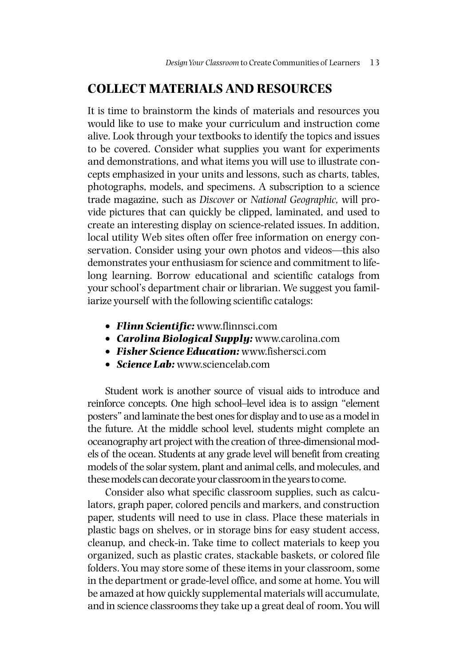# **COLLECT MATERIALS AND RESOURCES**

It is time to brainstorm the kinds of materials and resources you would like to use to make your curriculum and instruction come alive. Look through your textbooks to identify the topics and issues to be covered. Consider what supplies you want for experiments and demonstrations, and what items you will use to illustrate concepts emphasized in your units and lessons, such as charts, tables, photographs, models, and specimens. A subscription to a science trade magazine, such as *Discover* or *National Geographic,* will provide pictures that can quickly be clipped, laminated, and used to create an interesting display on science-related issues. In addition, local utility Web sites often offer free information on energy conservation. Consider using your own photos and videos—this also demonstrates your enthusiasm for science and commitment to lifelong learning. Borrow educational and scientific catalogs from your school's department chair or librarian. We suggest you familiarize yourself with the following scientific catalogs:

- *Flinn Scientific:* www.flinnsci.com
- *Carolina Biological Supply:* www.carolina.com
- *Fisher Science Education:* www.fishersci.com
- *Science Lab:* www.sciencelab.com

Student work is another source of visual aids to introduce and reinforce concepts. One high school–level idea is to assign "element posters" and laminate the best onesfor display and to use as a model in the future. At the middle school level, students might complete an oceanography art project with the creation of three-dimensional models of the ocean. Students at any grade level will benefit from creating models of the solar system, plant and animal cells, and molecules, and these models can decorate your classroom in the years to come.

Consider also what specific classroom supplies, such as calculators, graph paper, colored pencils and markers, and construction paper, students will need to use in class. Place these materials in plastic bags on shelves, or in storage bins for easy student access, cleanup, and check-in. Take time to collect materials to keep you organized, such as plastic crates, stackable baskets, or colored file folders. You may store some of these items in your classroom, some in the department or grade-level office, and some at home.You will be amazed at how quickly supplemental materials will accumulate, and in science classroomsthey take up a great deal of room.You will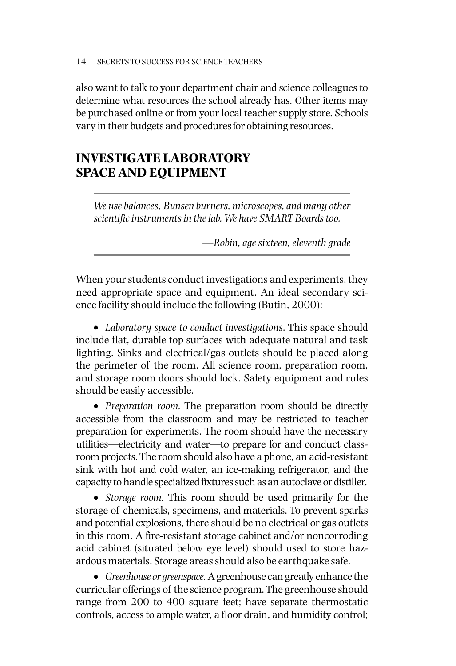also want to talk to your department chair and science colleagues to determine what resources the school already has. Other items may be purchased online or from your local teacher supply store. Schools vary in their budgets and procedures for obtaining resources.

# **INVESTIGATE LABORATORY SPACE AND EQUIPMENT**

*We use balances, Bunsen burners, microscopes, and many other scientificinstrumentsin thelab.We have SMART Boardstoo.*

 $-\text{Robin}$ , *age sixteen*, *eleventh grade* 

When your students conduct investigations and experiments, they need appropriate space and equipment. An ideal secondary science facility should include the following (Butin, 2000):

• *Laboratory space to conduct investigations*. This space should include flat, durable top surfaces with adequate natural and task lighting. Sinks and electrical/gas outlets should be placed along the perimeter of the room. All science room, preparation room, and storage room doors should lock. Safety equipment and rules should be easily accessible.

• *Preparation room.* The preparation room should be directly accessible from the classroom and may be restricted to teacher preparation for experiments. The room should have the necessary utilities—electricity and water—to prepare for and conduct classroom projects.The room should also have a phone, an acid-resistant sink with hot and cold water, an ice-making refrigerator, and the capacity to handle specialized fixtures such as an autoclave or distiller.

• *Storage room.* This room should be used primarily for the storage of chemicals, specimens, and materials. To prevent sparks and potential explosions, there should be no electrical or gas outlets in this room. A fire-resistant storage cabinet and/or noncorroding acid cabinet (situated below eye level) should used to store hazardous materials. Storage areas should also be earthquake safe.

• *Greenhouse or greenspace.*Agreenhouse cangreatly enhance the curricular offerings of the science program.The greenhouse should range from 200 to 400 square feet; have separate thermostatic controls, access to ample water, a floor drain, and humidity control;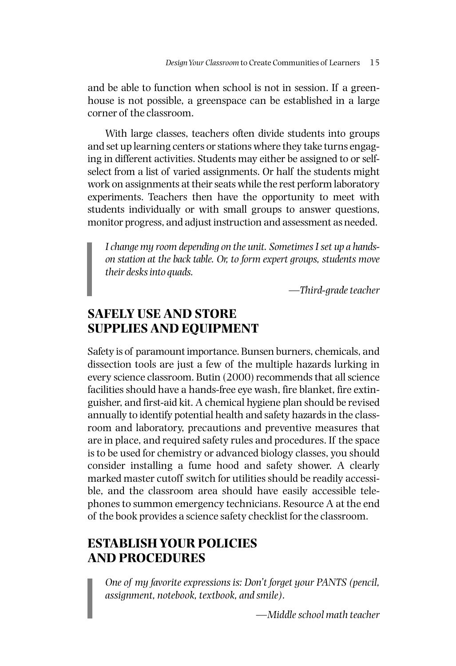and be able to function when school is not in session. If a greenhouse is not possible, a greenspace can be established in a large corner of the classroom.

With large classes, teachers often divide students into groups and set up learning centers or stations where they take turns engaging in different activities. Students may either be assigned to or selfselect from a list of varied assignments. Or half the students might work on assignments at their seats while the rest perform laboratory experiments. Teachers then have the opportunity to meet with students individually or with small groups to answer questions, monitor progress, and adjust instruction and assessment as needed.

*I* change my room depending on the unit. Sometimes I set up a hands*on station at the back table. Or, to form expert groups, students move their desksinto quads.*

 $-$ Third-grade teacher

# **SAFELY USE AND STORE SUPPLIES AND EQUIPMENT**

Safety is of paramount importance. Bunsen burners, chemicals, and dissection tools are just a few of the multiple hazards lurking in every science classroom. Butin (2000) recommends that all science facilities should have a hands-free eye wash, fire blanket, fire extinguisher, and first-aid kit. A chemical hygiene plan should be revised annually to identify potential health and safety hazards in the classroom and laboratory, precautions and preventive measures that are in place, and required safety rules and procedures. If the space is to be used for chemistry or advanced biology classes, you should consider installing a fume hood and safety shower. A clearly marked master cutoff switch for utilities should be readily accessible, and the classroom area should have easily accessible telephones to summon emergency technicians. Resource A at the end of the book provides a science safety checklist forthe classroom.

# **ESTABLISHYOUR POLICIES AND PROCEDURES**

*One of my favorite expressions is: Don't forget your PANTS (pencil, assignment, notebook, textbook, and smile).*

*—Middleschool math teacher*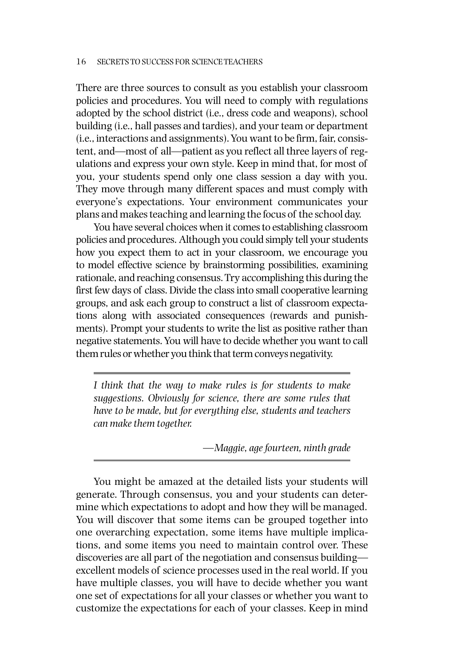There are three sources to consult as you establish your classroom policies and procedures. You will need to comply with regulations adopted by the school district (i.e., dress code and weapons), school building (*i.e.*, hall passes and tardies), and your team or department (i.e., interactions and assignments). You want to be firm, fair, consistent, and—most of all—patient as you reflect all three layers of regulations and express your own style. Keep in mind that, for most of you, your students spend only one class session a day with you. They move through many different spaces and must comply with everyone's expectations. Your environment communicates your plans and makesteaching and learning the focus of the school day.

You have several choices when it comes to establishing classroom policies and procedures. Although you could simply tell yourstudents how you expect them to act in your classroom, we encourage you to model effective science by brainstorming possibilities, examining rationale, and reaching consensus.Try accomplishing this during the first few days of class. Divide the class into small cooperative learning groups, and ask each group to construct a list of classroom expectations along with associated consequences (rewards and punishments). Prompt your students to write the list as positive rather than negative statements.You will have to decide whether you want to call them rules or whether you think that term conveys negativity.

*I think that the way to make rules is for students to make suggestions. Obviously for science, there are some rules that have to be made, but for everything else, students and teachers*  $can make them together.$ 

*—Maggie, agefourteen, ninth grade*

You might be amazed at the detailed lists your students will generate. Through consensus, you and your students can determine which expectations to adopt and how they will be managed. You will discover that some items can be grouped together into one overarching expectation, some items have multiple implications, and some items you need to maintain control over. These discoveries are all part of the negotiation and consensus building excellent models of science processes used in the real world. If you have multiple classes, you will have to decide whether you want one set of expectations for all your classes or whether you want to customize the expectations for each of your classes. Keep in mind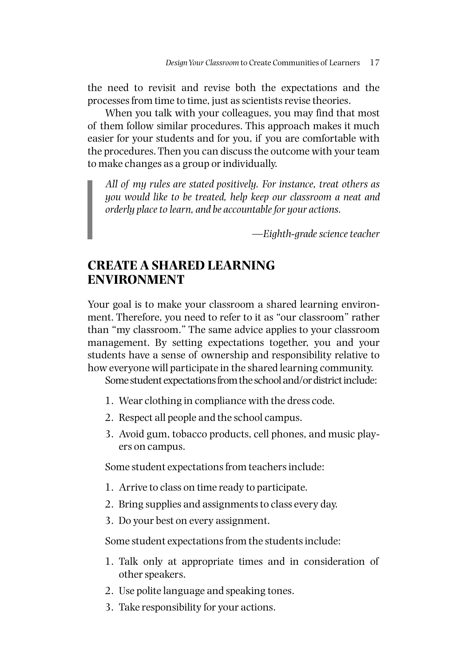the need to revisit and revise both the expectations and the processes from time to time, just as scientists revise theories.

When you talk with your colleagues, you may find that most of them follow similar procedures. This approach makes it much easier for your students and for you, if you are comfortable with the procedures. Then you can discuss the outcome with your team to make changes as a group or individually.

*All of my rules are stated positively. For instance, treat others as you would like to be treated, help keep our classroom a neat and <i>orderly* place to learn, and be accountable for your actions.

*—Eighth-gradescienceteacher*

# **CREATE A SHARED LEARNING ENVIRONMENT**

Your goal is to make your classroom a shared learning environment. Therefore, you need to refer to it as "our classroom" rather than "my classroom." The same advice applies to your classroom management. By setting expectations together, you and your students have a sense of ownership and responsibility relative to how everyone will participate in the shared learning community.

Some student expectations from the school and/or district include:

- 1. Wear clothing in compliance with the dress code.
- 2. Respect all people and the school campus.
- 3. Avoid gum, tobacco products, cell phones, and music players on campus.

Some student expectations from teachers include:

- 1. Arrive to class on time ready to participate.
- 2. Bring supplies and assignments to class every day.
- 3. Do your best on every assignment.

Some student expectations from the students include:

- 1. Talk only at appropriate times and in consideration of other speakers.
- 2. Use polite language and speaking tones.
- 3. Take responsibility for your actions.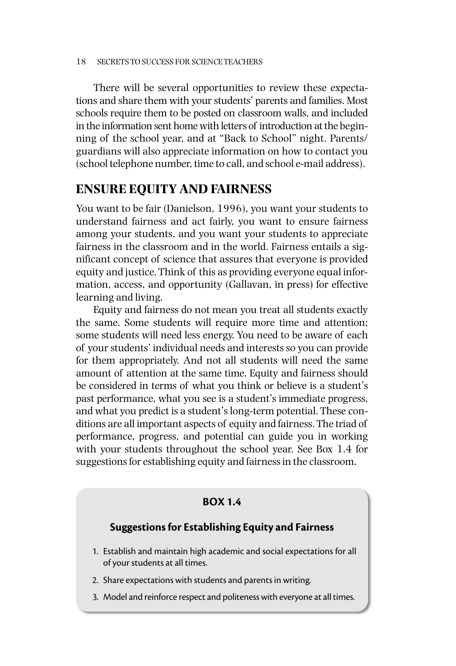There will be several opportunities to review these expectations and share them with your students' parents and families. Most schools require them to be posted on classroom walls, and included in the information sent home with letters of introduction at the beginning of the school year, and at "Back to School" night. Parents/ guardians will also appreciate information on how to contact you (school telephone number, time to call, and school e-mail address).

## **ENSURE EQUITY AND FAIRNESS**

You want to be fair (Danielson, 1996), you want your students to understand fairness and act fairly, you want to ensure fairness among your students, and you want your students to appreciate fairness in the classroom and in the world. Fairness entails a significant concept of science that assures that everyone is provided equity and justice.Think of this as providing everyone equal information, access, and opportunity (Gallavan, in press) for effective learning and living.

Equity and fairness do not mean you treat all students exactly the same. Some students will require more time and attention; some students will need less energy. You need to be aware of each of your students' individual needs and interests so you can provide for them appropriately. And not all students will need the same amount of attention at the same time. Equity and fairness should be considered in terms of what you think or believe is a student's past performance, what you see is a student's immediate progress, and what you predict is a student's long-term potential. These conditions are all important aspects of equity and fairness.The triad of performance, progress, and potential can guide you in working with your students throughout the school year. See Box 1.4 for suggestions for establishing equity and fairness in the classroom.

#### **BOX 1.4**

#### **Suggestionsfor Establishing Equity and Fairness**

- 1. Establish and maintain high academic and social expectations for all of your students at all times.
- 2. Share expectations with students and parents in writing.
- 3. Model and reinforce respect and politeness with everyone at all times.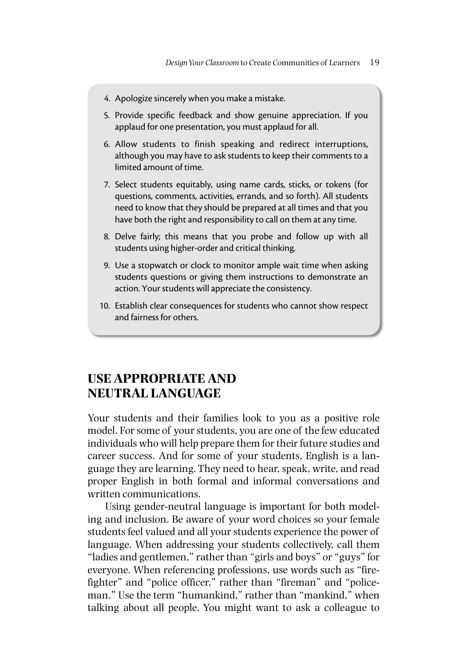- 4. Apologize sincerely when you make a mistake.
- 5. Provide specific feedback and show genuine appreciation. If you applaud for one presentation, you must applaud for all.
- 6. Allow students to finish speaking and redirect interruptions, although you may have to ask students to keep their comments to a limited amount of time.
- 7. Select students equitably, using name cards, sticks, or tokens (for questions, comments, activities, errands, and so forth). All students need to know that they should be prepared at all times and that you have both the right and responsibility to call on them at any time.
- 8. Delve fairly; this means that you probe and follow up with all students using higher-order and critical thinking.
- 9. Use a stopwatch or clock to monitor ample wait time when asking students questions or giving them instructions to demonstrate an action. Your students will appreciate the consistency.
- 10. Establish clear consequences for students who cannot show respect and fairness for others.

# **USE APPROPRIATE AND NEUTRAL LANGUAGE**

Your students and their families look to you as a positive role model. For some of your students, you are one of the few educated individuals who will help prepare them for their future studies and career success. And for some of your students, English is a language they are learning. They need to hear, speak, write, and read proper English in both formal and informal conversations and written communications.

Using gender-neutral language is important for both modeling and inclusion. Be aware of your word choices so your female students feel valued and all your students experience the power of language. When addressing your students collectively, call them "ladies and gentlemen," rather than "girls and boys" or "guys" for everyone. When referencing professions, use words such as "firefighter" and "police officer," rather than "fireman" and "policeman." Use the term "humankind," rather than "mankind," when talking about all people. You might want to ask a colleague to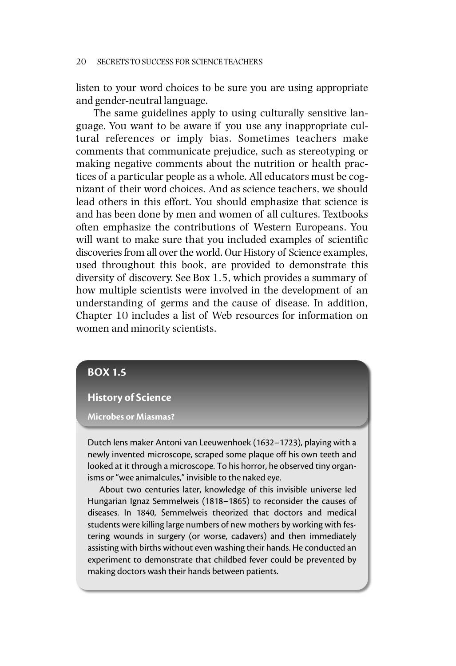listen to your word choices to be sure you are using appropriate and gender-neutral language.

The same guidelines apply to using culturally sensitive language. You want to be aware if you use any inappropriate cultural references or imply bias. Sometimes teachers make comments that communicate prejudice, such as stereotyping or making negative comments about the nutrition or health practices of a particular people as a whole. All educators must be cognizant of their word choices. And as science teachers, we should lead others in this effort. You should emphasize that science is and has been done by men and women of all cultures. Textbooks often emphasize the contributions of Western Europeans. You will want to make sure that you included examples of scientific discoveries from all over the world. Our History of Science examples, used throughout this book, are provided to demonstrate this diversity of discovery. See Box 1.5, which provides a summary of how multiple scientists were involved in the development of an understanding of germs and the cause of disease. In addition, Chapter 10 includes a list of Web resources for information on women and minority scientists.

## **BOX 1.5**

#### **History of Science**

**Microbes or Miasmas?**

Dutch lens maker Antoni van Leeuwenhoek (1632–1723), playing with a newly invented microscope, scraped some plaque off his own teeth and looked at it through a microscope. To his horror, he observed tiny organisms or "wee animalcules," invisible to the naked eye.

About two centuries later, knowledge of this invisible universe led Hungarian Ignaz Semmelweis (1818–1865) to reconsider the causes of diseases. In 1840, Semmelweis theorized that doctors and medical students were killing large numbers of new mothers by working with festering wounds in surgery (or worse, cadavers) and then immediately assisting with births without even washing their hands. He conducted an experiment to demonstrate that childbed fever could be prevented by making doctors wash their hands between patients.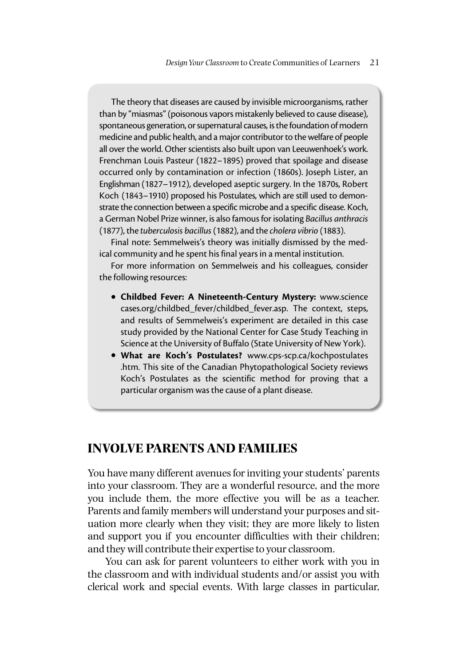The theory that diseases are caused by invisible microorganisms, rather than by "miasmas" (poisonous vapors mistakenly believed to cause disease), spontaneous generation, or supernatural causes, is the foundation of modern medicine and public health, and a major contributor to the welfare of people all over the world. Other scientists also built upon van Leeuwenhoek's work. Frenchman Louis Pasteur (1822–1895) proved that spoilage and disease occurred only by contamination or infection (1860s). Joseph Lister, an Englishman (1827–1912), developed aseptic surgery. In the 1870s, Robert Koch (1843–1910) proposed his Postulates, which are still used to demonstrate the connection between a specific microbe and a specific disease. Koch, a German Nobel Prize winner, is also famous for isolating *Bacillus anthracis* (1877),the *tuberculosis bacillus*(1882), and the *cholera vibrio* (1883).

Final note: Semmelweis's theory was initially dismissed by the medical community and he spent his final years in a mental institution.

For more information on Semmelweis and his colleagues, consider the following resources:

- **Childbed Fever: A Nineteenth-Century Mystery:** www.science cases.org/childbed\_fever/childbed\_fever.asp. The context, steps, and results of Semmelweis's experiment are detailed in this case study provided by the National Center for Case Study Teaching in Science at the University of Buffalo (State University of New York).
- **What are Koch's Postulates?** www.cps-scp.ca/kochpostulates .htm. This site of the Canadian Phytopathological Society reviews Koch's Postulates as the scientific method for proving that a particular organism was the cause of a plant disease.

## **INVOLVE PARENTS AND FAMILIES**

You have many different avenues for inviting your students' parents into your classroom. They are a wonderful resource, and the more you include them, the more effective you will be as a teacher. Parents and family members will understand your purposes and situation more clearly when they visit; they are more likely to listen and support you if you encounter difficulties with their children; and they will contribute their expertise to your classroom.

You can ask for parent volunteers to either work with you in the classroom and with individual students and/or assist you with clerical work and special events. With large classes in particular,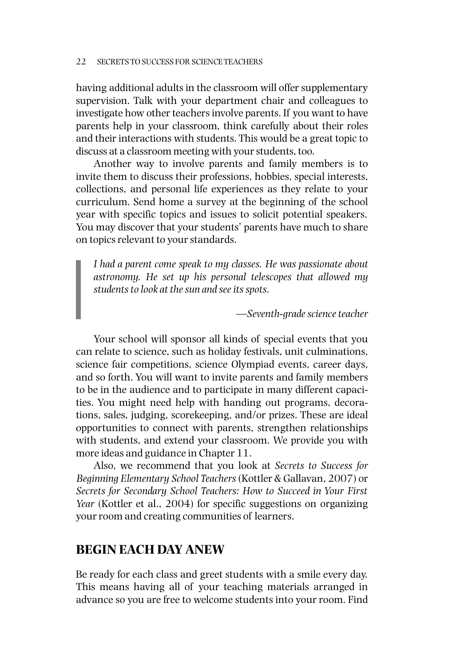having additional adults in the classroom will offer supplementary supervision. Talk with your department chair and colleagues to investigate how other teachers involve parents. If you want to have parents help in your classroom, think carefully about their roles and their interactions with students. This would be a great topic to discuss at a classroom meeting with your students, too.

Another way to involve parents and family members is to invite them to discuss their professions, hobbies, special interests, collections, and personal life experiences as they relate to your curriculum. Send home a survey at the beginning of the school year with specific topics and issues to solicit potential speakers. You may discover that your students' parents have much to share on topics relevant to your standards.

*I had a parent come speak to my classes. He was passionate about astronomy. He set up his personal telescopes that allowed my studentsto look at thesun and seeitsspots.*

 $-$ *Seventh-grade science teacher* 

Your school will sponsor all kinds of special events that you can relate to science, such as holiday festivals, unit culminations, science fair competitions, science Olympiad events, career days, and so forth. You will want to invite parents and family members to be in the audience and to participate in many different capacities. You might need help with handing out programs, decorations, sales, judging, scorekeeping, and/or prizes. These are ideal opportunities to connect with parents, strengthen relationships with students, and extend your classroom. We provide you with more ideas and guidance in Chapter 11.

Also, we recommend that you look at *Secrets to Success for Beginning Elementary School Teachers*(Kottler & Gallavan, 2007) or *Secrets for Secondary School Teachers: How to Succeed in Your First Year* (Kottler et al., 2004) for specific suggestions on organizing your room and creating communities of learners.

## **BEGIN EACH DAY ANEW**

Be ready for each class and greet students with a smile every day. This means having all of your teaching materials arranged in advance so you are free to welcome students into your room. Find